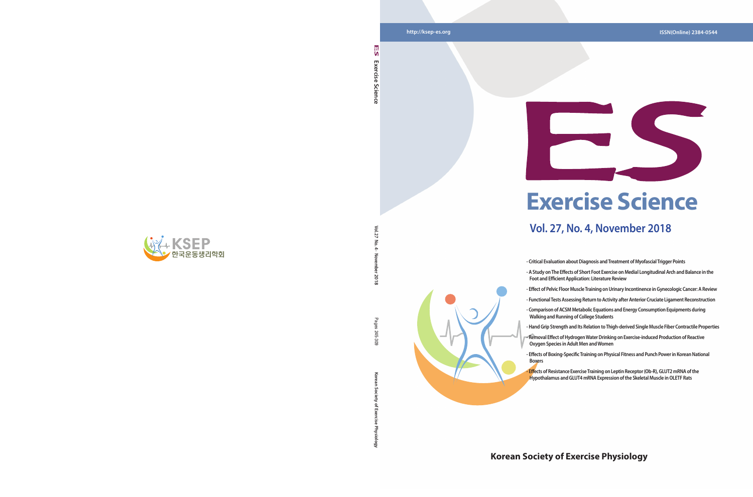**Korean Society of Exercise Physiology** Pages 245-309

## **Korean Society of Exercise Physiology**





## **Vol. 27, No. 4, November 2018**

- **Critical Evaluation about Diagnosis and Treatment of Myofascial Trigger Points**
- **A Study on The Effects of Short Foot Exercise on Medial Longitudinal Arch and Balance in the Foot and Efficient Application: Literature Review**
- **Effect of Pelvic Floor Muscle Training on Urinary Incontinence in Gynecologic Cancer: A Review**
- **Comparison of ACSM Metabolic Equations and Energy Consumption Equipments during Walking and Running of College Students**
- **Hand Grip Strength and Its Relation to Thigh-derived Single Muscle Fiber Contractile Properties**
- **Effects of Boxing-Specific Training on Physical Fitness and Punch Power in Korean National**
- **Effects of Resistance Exercise Training on Leptin Receptor (Ob-R), GLUT2 mRNA of the Hypothalamus and GLUT4 mRNA Expression of the Skeletal Muscle in OLETF Rats**
- 
- 
- 
- **Functional Tests Assessing Return to Activity after Anterior Cruciate Ligament Reconstruction**
- 
- 
- **Removal Effect of Hydrogen Water Drinking on Exercise-induced Production of Reactive Oxygen Species in Adult Men and Women**
- **Boxers**
- 



۱n Exercise **Exercise Science**  Science

ఠ **Vol. 27 No. 4 · November 2018** .<br>کا 2018

Pages 245